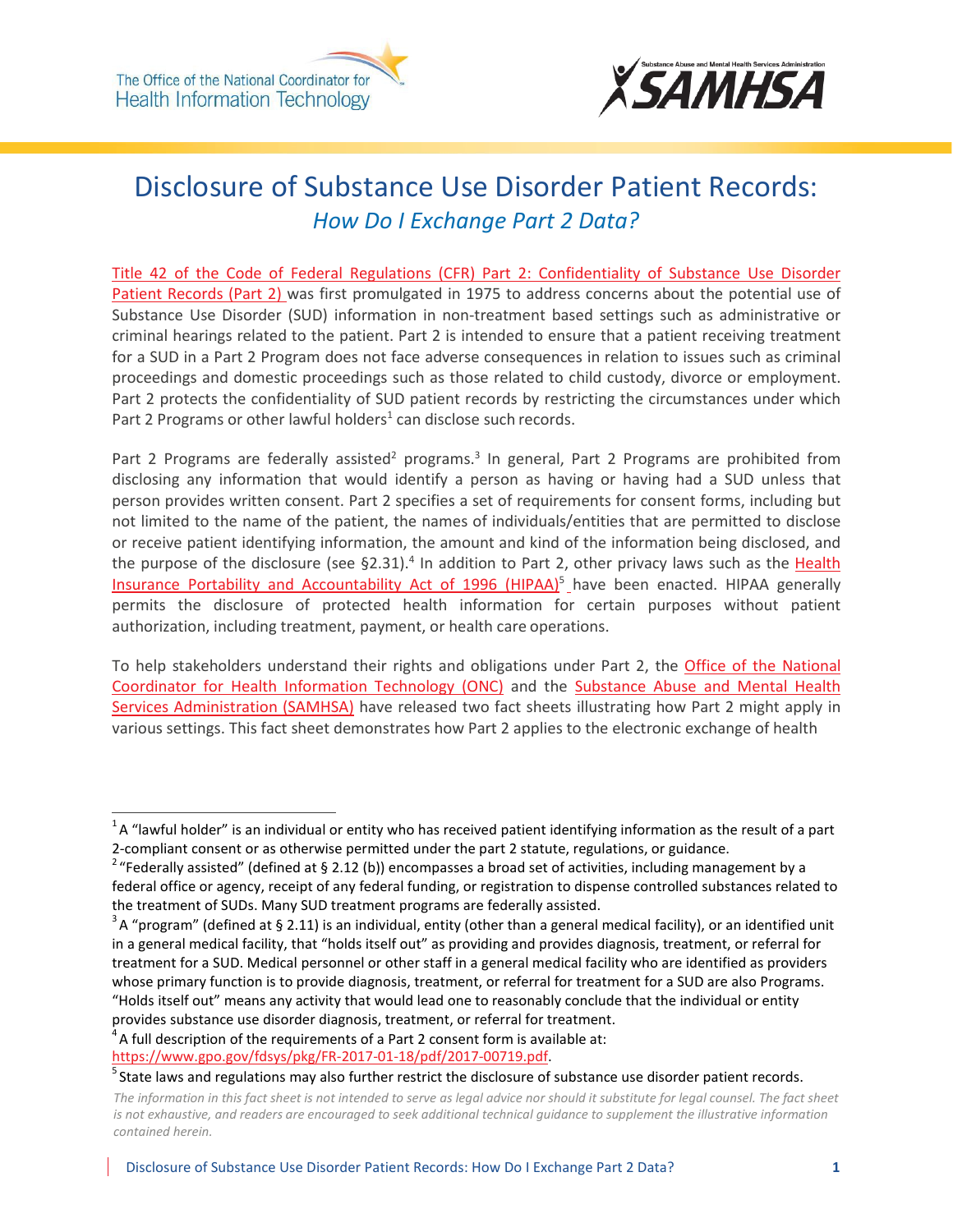



# Disclosure of Substance Use Disorder Patient Records: *How Do I Exchange Part 2 Data?*

[Title 42 of the Code of Federal Regulations \(CFR\) Part 2: Confidentiality of Substance Use Disorder](https://www.gpo.gov/fdsys/pkg/FR-2017-01-18/pdf/2017-00719.pdf) [Patient Records \(Part 2\) w](https://www.gpo.gov/fdsys/pkg/FR-2017-01-18/pdf/2017-00719.pdf)as first promulgated in 1975 to address concerns about the potential use of Substance Use Disorder (SUD) information in non-treatment based settings such as administrative or criminal hearings related to the patient. Part 2 is intended to ensure that a patient receiving treatment for a SUD in a Part 2 Program does not face adverse consequences in relation to issues such as criminal proceedings and domestic proceedings such as those related to child custody, divorce or employment. Part 2 protects the confidentiality of SUD patient records by restricting the circumstances under which Part 2 Programs or other lawful holders<sup>1</sup> can disclose such records.

Part 2 Programs are federally assisted<sup>2</sup> programs.<sup>3</sup> In general, Part 2 Programs are prohibited from disclosing any information that would identify a person as having or having had a SUD unless that person provides written consent. Part 2 specifies a set of requirements for consent forms, including but not limited to the name of the patient, the names of individuals/entities that are permitted to disclose or receive patient identifying information, the amount and kind of the information being disclosed, and the purpose of the disclosure (see §2.31).<sup>4</sup> In addition to Part 2, other privacy laws such as the [Health](https://www.hhs.gov/hipaa/for-professionals/index.html) Insurance Portability and Accountability Act of 1996 (HIPAA)<sup>5</sup> have been enacted. HIPAA generally permits the disclosure of protected health information for certain purposes without patient authorization, including treatment, payment, or health care operations.

To help stakeholders understand their rights and obligations under Part 2, the [Office of the National](https://www.healthit.gov/newsroom/about-onc) [Coordinator for Health Information Technology \(ONC\)](https://www.healthit.gov/newsroom/about-onc) and the [Substance Abuse and Mental Health](https://www.samhsa.gov/about-us) [Services Administration \(SAMHSA\)](https://www.samhsa.gov/about-us) have released two fact sheets illustrating how Part 2 might apply in various settings. This fact sheet demonstrates how Part 2 applies to the electronic exchange of health

 $1A$  "lawful holder" is an individual or entity who has received patient identifying information as the result of a part 2-compliant consent or as otherwise permitted under the part 2 statute, regulations, or guidance.

<sup>&</sup>lt;sup>2</sup> "Federally assisted" (defined at § 2.12 (b)) encompasses a broad set of activities, including management by a federal office or agency, receipt of any federal funding, or registration to dispense controlled substances related to the treatment of SUDs. Many SUD treatment programs are federally assisted.

 $3A$  "program" (defined at § 2.11) is an individual, entity (other than a general medical facility), or an identified unit in a general medical facility, that "holds itself out" as providing and provides diagnosis, treatment, or referral for treatment for a SUD. Medical personnel or other staff in a general medical facility who are identified as providers whose primary function is to provide diagnosis, treatment, or referral for treatment for a SUD are also Programs. "Holds itself out" means any activity that would lead one to reasonably conclude that the individual or entity provides substance use disorder diagnosis, treatment, or referral for treatment.

 $4A$  full description of the requirements of a Part 2 consent form is available at: [https://www.gpo.gov/fdsys/pkg/FR-2017-01-18/pdf/2017-00719.pdf.](https://www.gpo.gov/fdsys/pkg/FR-2017-01-18/pdf/2017-00719.pdf)

 $5$  State laws and regulations may also further restrict the disclosure of substance use disorder patient records.

*The information in this fact sheet is not intended to serve as legal advice nor should it substitute for legal counsel. The fact sheet is not exhaustive, and readers are encouraged to seek additional technical guidance to supplement the illustrative information contained herein.*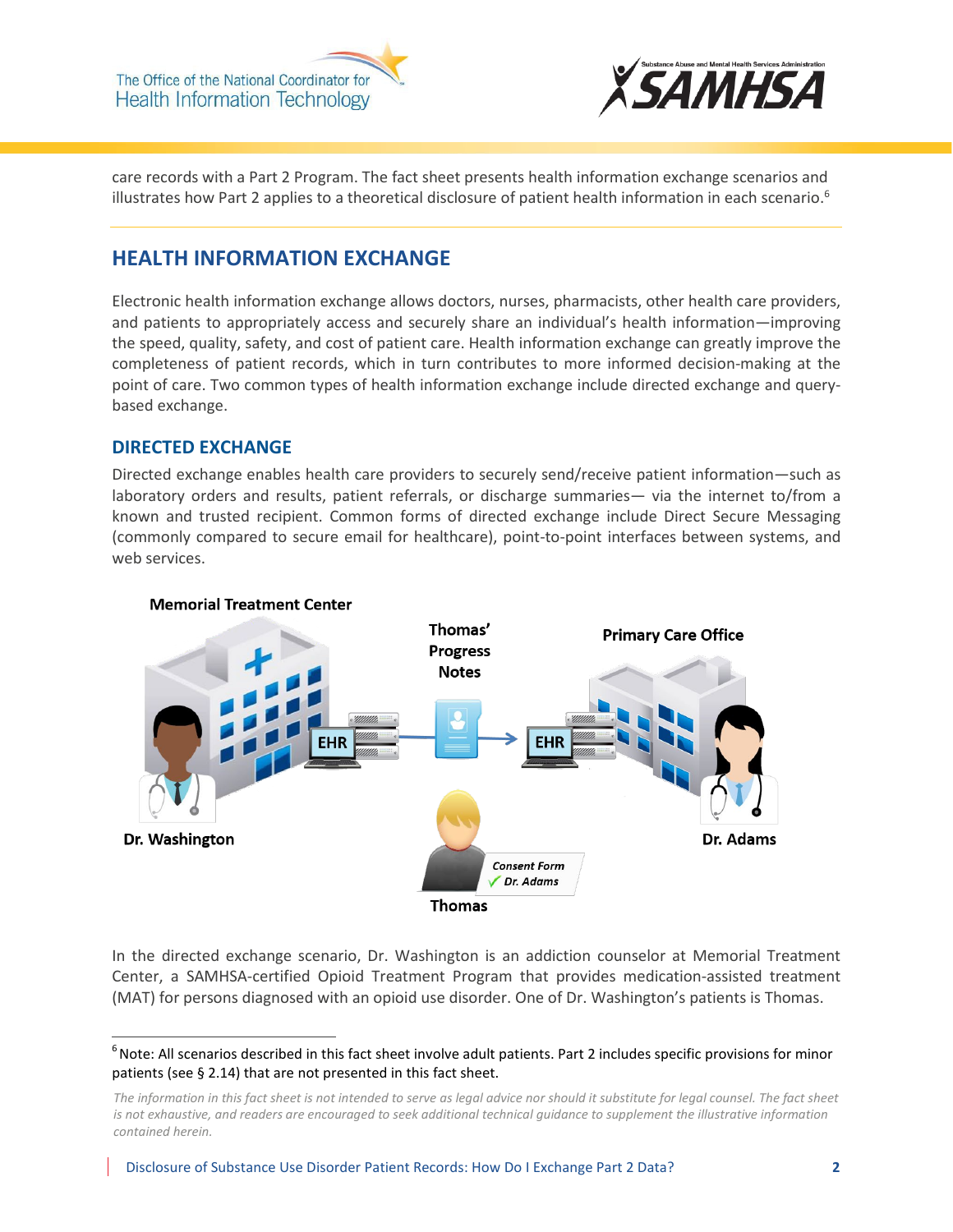The Office of the National Coordinator for **Health Information Technology** 



care records with a Part 2 Program. The fact sheet presents health information exchange scenarios and illustrates how Part 2 applies to a theoretical disclosure of patient health information in each scenario.<sup>6</sup>

# **HEALTH INFORMATION EXCHANGE**

Electronic health information exchange allows doctors, nurses, pharmacists, other health care providers, and patients to appropriately access and securely share an individual's health information—improving the speed, quality, safety, and cost of patient care. Health information exchange can greatly improve the completeness of patient records, which in turn contributes to more informed decision-making at the point of care. Two common types of health information exchange include directed exchange and querybased exchange.

## **DIRECTED EXCHANGE**

Directed exchange enables health care providers to securely send/receive patient information—such as laboratory orders and results, patient referrals, or discharge summaries— via the internet to/from a known and trusted recipient. Common forms of directed exchange include Direct Secure Messaging (commonly compared to secure email for healthcare), point-to-point interfaces between systems, and web services.



### **Memorial Treatment Center**

In the directed exchange scenario, Dr. Washington is an addiction counselor at Memorial Treatment Center, a SAMHSA-certified Opioid Treatment Program that provides medication-assisted treatment (MAT) for persons diagnosed with an opioid use disorder. One of Dr. Washington's patients is Thomas.

 $<sup>6</sup>$  Note: All scenarios described in this fact sheet involve adult patients. Part 2 includes specific provisions for minor</sup> patients (see § 2.14) that are not presented in this fact sheet.

*The information in this fact sheet is not intended to serve as legal advice nor should it substitute for legal counsel. The fact sheet is not exhaustive, and readers are encouraged to seek additional technical guidance to supplement the illustrative information contained herein.*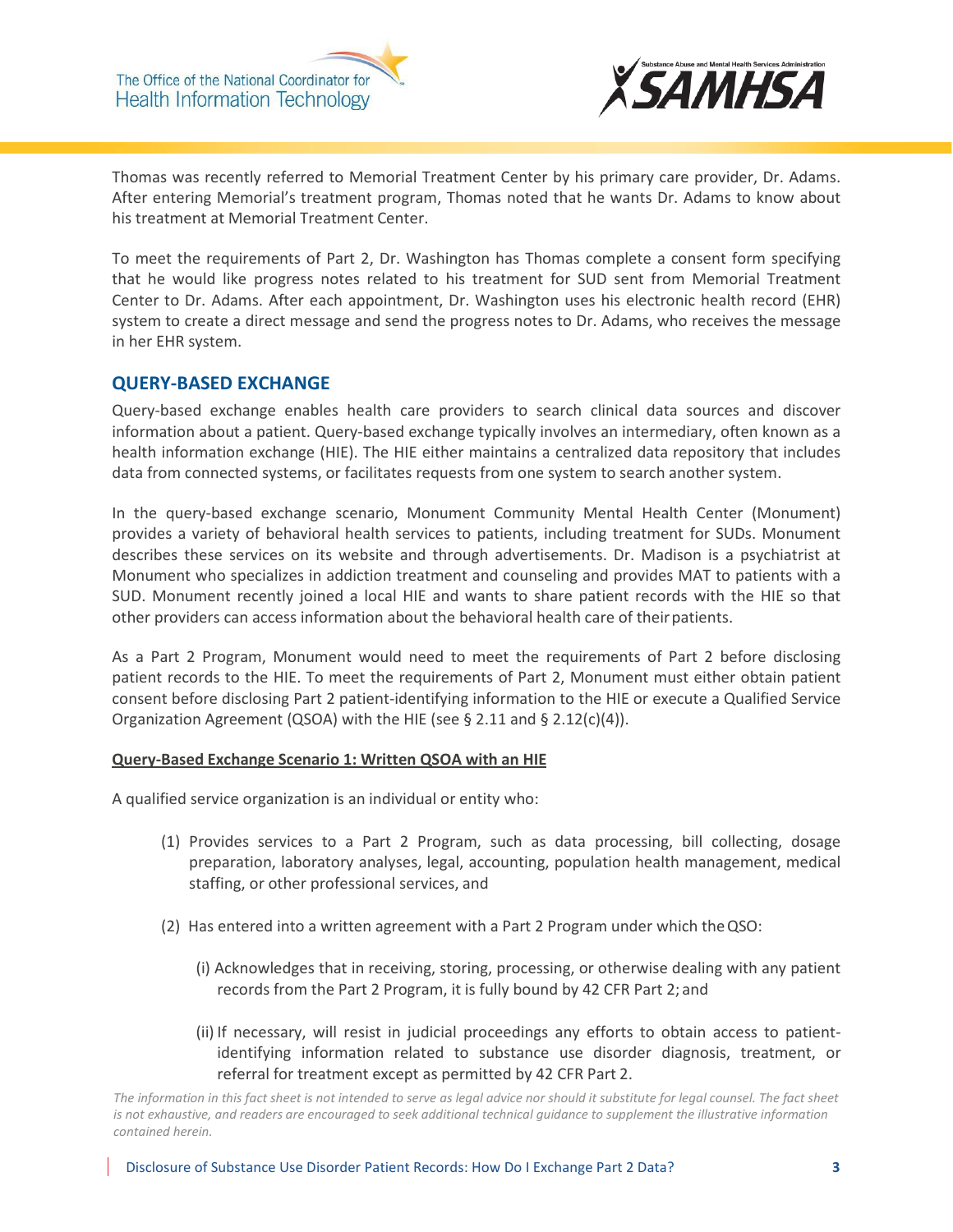The Office of the National Coordinator for **Health Information Technology** 



Thomas was recently referred to Memorial Treatment Center by his primary care provider, Dr. Adams. After entering Memorial's treatment program, Thomas noted that he wants Dr. Adams to know about his treatment at Memorial Treatment Center.

To meet the requirements of Part 2, Dr. Washington has Thomas complete a consent form specifying that he would like progress notes related to his treatment for SUD sent from Memorial Treatment Center to Dr. Adams. After each appointment, Dr. Washington uses his electronic health record (EHR) system to create a direct message and send the progress notes to Dr. Adams, who receives the message in her EHR system.

## **QUERY-BASED EXCHANGE**

Query-based exchange enables health care providers to search clinical data sources and discover information about a patient. Query-based exchange typically involves an intermediary, often known as a health information exchange (HIE). The HIE either maintains a centralized data repository that includes data from connected systems, or facilitates requests from one system to search another system.

In the query-based exchange scenario, Monument Community Mental Health Center (Monument) provides a variety of behavioral health services to patients, including treatment for SUDs. Monument describes these services on its website and through advertisements. Dr. Madison is a psychiatrist at Monument who specializes in addiction treatment and counseling and provides MAT to patients with a SUD. Monument recently joined a local HIE and wants to share patient records with the HIE so that other providers can access information about the behavioral health care of theirpatients.

As a Part 2 Program, Monument would need to meet the requirements of Part 2 before disclosing patient records to the HIE. To meet the requirements of Part 2, Monument must either obtain patient consent before disclosing Part 2 patient-identifying information to the HIE or execute a Qualified Service Organization Agreement (QSOA) with the HIE (see § 2.11 and § 2.12(c)(4)).

### **Query-Based Exchange Scenario 1: Written QSOA with an HIE**

A qualified service organization is an individual or entity who:

- (1) Provides services to a Part 2 Program, such as data processing, bill collecting, dosage preparation, laboratory analyses, legal, accounting, population health management, medical staffing, or other professional services, and
- (2) Has entered into a written agreement with a Part 2 Program under which theQSO:
	- (i) Acknowledges that in receiving, storing, processing, or otherwise dealing with any patient records from the Part 2 Program, it is fully bound by 42 CFR Part 2; and
	- (ii) If necessary, will resist in judicial proceedings any efforts to obtain access to patientidentifying information related to substance use disorder diagnosis, treatment, or referral for treatment except as permitted by 42 CFR Part 2.

*The information in this fact sheet is not intended to serve as legal advice nor should it substitute for legal counsel. The fact sheet is not exhaustive, and readers are encouraged to seek additional technical guidance to supplement the illustrative information contained herein.*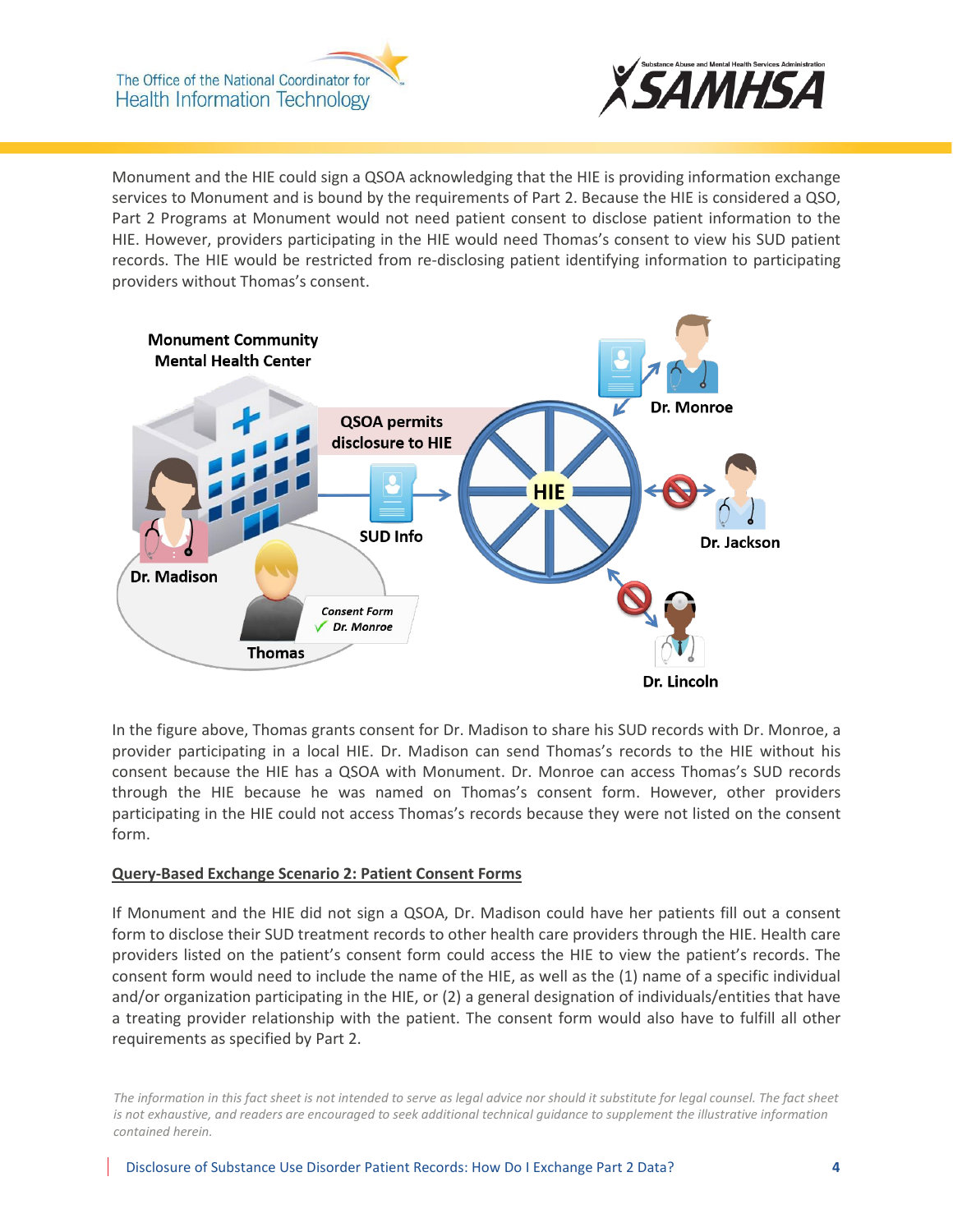The Office of the National Coordinator for **Health Information Technology** 



Monument and the HIE could sign a QSOA acknowledging that the HIE is providing information exchange services to Monument and is bound by the requirements of Part 2. Because the HIE is considered a QSO, Part 2 Programs at Monument would not need patient consent to disclose patient information to the HIE. However, providers participating in the HIE would need Thomas's consent to view his SUD patient records. The HIE would be restricted from re-disclosing patient identifying information to participating providers without Thomas's consent.



In the figure above, Thomas grants consent for Dr. Madison to share his SUD records with Dr. Monroe, a provider participating in a local HIE. Dr. Madison can send Thomas's records to the HIE without his consent because the HIE has a QSOA with Monument. Dr. Monroe can access Thomas's SUD records through the HIE because he was named on Thomas's consent form. However, other providers participating in the HIE could not access Thomas's records because they were not listed on the consent form.

### **Query-Based Exchange Scenario 2: Patient Consent Forms**

If Monument and the HIE did not sign a QSOA, Dr. Madison could have her patients fill out a consent form to disclose their SUD treatment records to other health care providers through the HIE. Health care providers listed on the patient's consent form could access the HIE to view the patient's records. The consent form would need to include the name of the HIE, as well as the (1) name of a specific individual and/or organization participating in the HIE, or (2) a general designation of individuals/entities that have a treating provider relationship with the patient. The consent form would also have to fulfill all other requirements as specified by Part 2.

*The information in this fact sheet is not intended to serve as legal advice nor should it substitute for legal counsel. The fact sheet is not exhaustive, and readers are encouraged to seek additional technical guidance to supplement the illustrative information contained herein.*